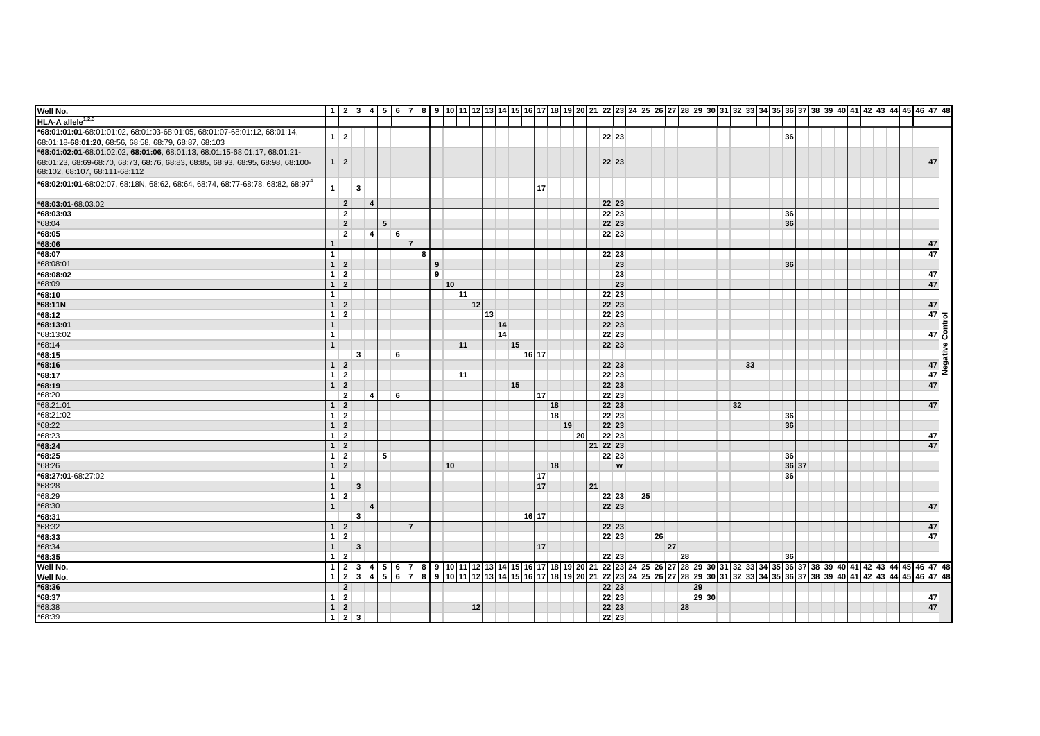| Well No.                                                                                   |                   |                         |   |                |   |   |    |            |    |    |                 |    |    | 1 2 3 4 5 6 7 8 9 10 11 2 3 4 5 6 7 8 9 10 11 2 3 4 5 6 7 8 9 20 21 22 23 24 25 26 27 28 29 30 31 32 33 4 35 36 37 38 39 40 41 42 43 44 5 46 47 48  |       |    |    |    |       |                 |    |    |       |  |  |  |    |                                                                     |  |
|--------------------------------------------------------------------------------------------|-------------------|-------------------------|---|----------------|---|---|----|------------|----|----|-----------------|----|----|-----------------------------------------------------------------------------------------------------------------------------------------------------|-------|----|----|----|-------|-----------------|----|----|-------|--|--|--|----|---------------------------------------------------------------------|--|
| HLA-A allele <sup>1,2,3</sup>                                                              |                   |                         |   |                |   |   |    |            |    |    |                 |    |    |                                                                                                                                                     |       |    |    |    |       |                 |    |    |       |  |  |  |    |                                                                     |  |
| *68:01:01:01-68:01:01.02, 68:01:03-68:01:05, 68:01:07-68:01:12, 68:01:14,                  | $1 \vert 2$       |                         |   |                |   |   |    |            |    |    |                 |    |    |                                                                                                                                                     |       |    |    |    |       |                 |    | 36 |       |  |  |  |    |                                                                     |  |
| 68:01:18-68:01:20, 68:56, 68:58, 68:79, 68:87, 68:103                                      |                   |                         |   |                |   |   |    |            |    |    |                 |    |    |                                                                                                                                                     | 22 23 |    |    |    |       |                 |    |    |       |  |  |  |    |                                                                     |  |
| *68:01:02:01-68:01:02:02, 68:01:06, 68:01:13, 68:01:15-68:01:17, 68:01:21-                 |                   |                         |   |                |   |   |    |            |    |    |                 |    |    |                                                                                                                                                     |       |    |    |    |       |                 |    |    |       |  |  |  |    |                                                                     |  |
| 68:01:23, 68:69-68:70, 68:73, 68:76, 68:83, 68:85, 68:93, 68:95, 68:98, 68:100-            | $1 \mid 2$        |                         |   |                |   |   |    |            |    |    |                 |    |    | 22 23                                                                                                                                               |       |    |    |    |       |                 |    |    |       |  |  |  | 47 |                                                                     |  |
| 68:102, 68:107, 68:111-68:112                                                              |                   |                         |   |                |   |   |    |            |    |    |                 |    |    |                                                                                                                                                     |       |    |    |    |       |                 |    |    |       |  |  |  |    |                                                                     |  |
| *68:02:01:01-68:02:07, 68:18N, 68:62, 68:64, 68:74, 68:77-68:78, 68:82, 68:97 <sup>*</sup> | $\mathbf{1}$      | 3                       |   |                |   |   |    |            |    |    | 17              |    |    |                                                                                                                                                     |       |    |    |    |       |                 |    |    |       |  |  |  |    |                                                                     |  |
|                                                                                            |                   |                         |   |                |   |   |    |            |    |    |                 |    |    |                                                                                                                                                     |       |    |    |    |       |                 |    |    |       |  |  |  |    |                                                                     |  |
| *68:03:01-68:03:02                                                                         | $\overline{2}$    | $\overline{4}$          |   |                |   |   |    |            |    |    |                 |    |    | 22 23                                                                                                                                               |       |    |    |    |       |                 |    |    |       |  |  |  |    |                                                                     |  |
| *68:03:03                                                                                  | $\overline{2}$    |                         |   |                |   |   |    |            |    |    |                 |    |    |                                                                                                                                                     | 22 23 |    |    |    |       |                 |    | 36 |       |  |  |  |    |                                                                     |  |
| *68:04                                                                                     | $\overline{2}$    |                         | 5 |                |   |   |    |            |    |    |                 |    |    | 22 23                                                                                                                                               |       |    |    |    |       |                 |    | 36 |       |  |  |  |    |                                                                     |  |
| *68:05                                                                                     | $\mathbf{2}$      | 4                       |   | 6              |   |   |    |            |    |    |                 |    |    | 22 23                                                                                                                                               |       |    |    |    |       |                 |    |    |       |  |  |  |    |                                                                     |  |
| *68:06                                                                                     |                   |                         |   | $\overline{7}$ |   |   |    |            |    |    |                 |    |    |                                                                                                                                                     |       |    |    |    |       |                 |    |    |       |  |  |  | 47 |                                                                     |  |
| $*68:07$                                                                                   | 1 <sup>1</sup>    |                         |   |                | 8 |   |    |            |    |    |                 |    |    | 22 23                                                                                                                                               |       |    |    |    |       |                 |    |    |       |  |  |  | 47 |                                                                     |  |
| *68:08:01                                                                                  | $1 \vert 2$       |                         |   |                |   | 9 |    |            |    |    |                 |    |    |                                                                                                                                                     | 23    |    |    |    |       |                 |    | 36 |       |  |  |  |    |                                                                     |  |
| *68:08:02                                                                                  | $1 \mid 2$        |                         |   |                |   | 9 |    |            |    |    |                 |    |    |                                                                                                                                                     | 23    |    |    |    |       |                 |    |    |       |  |  |  | 47 |                                                                     |  |
| *68:09                                                                                     | $1 \vert 2$       |                         |   |                |   |   | 10 |            |    |    |                 |    |    |                                                                                                                                                     | 23    |    |    |    |       |                 |    |    |       |  |  |  | 47 |                                                                     |  |
| $*68:10$                                                                                   | 1 <sup>1</sup>    |                         |   |                |   |   | 11 |            |    |    |                 |    |    | 22 23                                                                                                                                               |       |    |    |    |       |                 |    |    |       |  |  |  |    |                                                                     |  |
| *68:11N                                                                                    | $1 \vert 2$       |                         |   |                |   |   |    | 12         |    |    |                 |    |    | 22 23                                                                                                                                               |       |    |    |    |       |                 |    |    |       |  |  |  | 47 |                                                                     |  |
| $*68:12$                                                                                   | $1 \mid 2$        |                         |   |                |   |   |    | $13 \vert$ |    |    |                 |    |    | 22 23                                                                                                                                               |       |    |    |    |       |                 |    |    |       |  |  |  |    |                                                                     |  |
| *68:13:01                                                                                  | $\mathbf{1}$      |                         |   |                |   |   |    |            | 14 |    |                 |    |    | 22 23                                                                                                                                               |       |    |    |    |       |                 |    |    |       |  |  |  |    |                                                                     |  |
| *68:13:02                                                                                  | 1                 |                         |   |                |   |   |    |            | 14 |    |                 |    |    | 22 23                                                                                                                                               |       |    |    |    |       |                 |    |    |       |  |  |  |    | $\begin{array}{c c}\n\hline\n47 & 2 \\ \hline\n47 & 5\n\end{array}$ |  |
| $*68:14$                                                                                   | $\mathbf{1}$      |                         |   |                |   |   | 11 |            |    | 15 |                 |    |    | 22 23                                                                                                                                               |       |    |    |    |       |                 |    |    |       |  |  |  |    |                                                                     |  |
| $*68:15$                                                                                   |                   | 3                       |   | 6              |   |   |    |            |    |    | 16 17           |    |    |                                                                                                                                                     |       |    |    |    |       |                 |    |    |       |  |  |  |    | $\frac{47}{47}$<br>$\frac{47}{47}$                                  |  |
| *68:16                                                                                     | $1 \vert 2$       |                         |   |                |   |   |    |            |    |    |                 |    |    | 22 23                                                                                                                                               |       |    |    |    |       |                 | 33 |    |       |  |  |  |    |                                                                     |  |
| $*68:17$                                                                                   | $1 \mid 2$        |                         |   |                |   |   | 11 |            |    |    |                 |    |    | 22 23                                                                                                                                               |       |    |    |    |       |                 |    |    |       |  |  |  |    |                                                                     |  |
| $*68:19$                                                                                   | $1 \vert 2$       |                         |   |                |   |   |    |            |    | 15 |                 |    |    | 22 23                                                                                                                                               |       |    |    |    |       |                 |    |    |       |  |  |  |    | 47                                                                  |  |
| *68:20                                                                                     | $\overline{2}$    | 4                       |   | 6              |   |   |    |            |    |    | 17              |    |    | 22 23                                                                                                                                               |       |    |    |    |       |                 |    |    |       |  |  |  |    |                                                                     |  |
| $*68:21:01$                                                                                | $1 \mid 2$        |                         |   |                |   |   |    |            |    |    |                 | 18 |    | 22 23                                                                                                                                               |       |    |    |    |       | 32 <sub>1</sub> |    |    |       |  |  |  | 47 |                                                                     |  |
| *68:21:02                                                                                  | $1 \mid 2$        |                         |   |                |   |   |    |            |    |    |                 | 18 |    | 22 23                                                                                                                                               |       |    |    |    |       |                 |    | 36 |       |  |  |  |    |                                                                     |  |
| *68:22                                                                                     | $1 \vert 2$       |                         |   |                |   |   |    |            |    |    |                 | 19 |    | 22 23                                                                                                                                               |       |    |    |    |       |                 |    | 36 |       |  |  |  |    |                                                                     |  |
| *68:23                                                                                     | $1 \mid 2$        |                         |   |                |   |   |    |            |    |    |                 |    | 20 | 22 23                                                                                                                                               |       |    |    |    |       |                 |    |    |       |  |  |  | 47 |                                                                     |  |
| $*68:24$                                                                                   | $1 \vert 2 \vert$ |                         |   |                |   |   |    |            |    |    |                 |    |    | 21 22 23                                                                                                                                            |       |    |    |    |       |                 |    |    |       |  |  |  | 47 |                                                                     |  |
| $*68:25$                                                                                   | $1 \mid 2$        |                         | 5 |                |   |   |    |            |    |    |                 |    |    |                                                                                                                                                     | 22 23 |    |    |    |       |                 |    | 36 |       |  |  |  |    |                                                                     |  |
| $*68:26$                                                                                   | $1 \vert 2$       |                         |   |                |   |   | 10 |            |    |    |                 | 18 |    |                                                                                                                                                     | W     |    |    |    |       |                 |    |    | 36 37 |  |  |  |    |                                                                     |  |
| *68:27:01-68:27:02                                                                         | $\mathbf{1}$      |                         |   |                |   |   |    |            |    |    | 17 <sup>1</sup> |    |    |                                                                                                                                                     |       |    |    |    |       |                 |    |    | 36    |  |  |  |    |                                                                     |  |
| $*68:28$                                                                                   | 1 <sup>1</sup>    | 3                       |   |                |   |   |    |            |    |    | 17              |    |    | 21                                                                                                                                                  |       |    |    |    |       |                 |    |    |       |  |  |  |    |                                                                     |  |
| *68:29                                                                                     | $1 \vert 2 \vert$ |                         |   |                |   |   |    |            |    |    |                 |    |    |                                                                                                                                                     | 22 23 | 25 |    |    |       |                 |    |    |       |  |  |  |    |                                                                     |  |
| *68:30                                                                                     | 1                 | $\overline{4}$          |   |                |   |   |    |            |    |    |                 |    |    | 22 23                                                                                                                                               |       |    |    |    |       |                 |    |    |       |  |  |  | 47 |                                                                     |  |
| $*68:31$                                                                                   |                   | 3 <sup>1</sup>          |   |                |   |   |    |            |    |    | 16 17           |    |    |                                                                                                                                                     |       |    |    |    |       |                 |    |    |       |  |  |  |    |                                                                     |  |
| *68:32                                                                                     | $1 \vert 2$       |                         |   | $\overline{7}$ |   |   |    |            |    |    |                 |    |    | 22 23                                                                                                                                               |       |    |    |    |       |                 |    |    |       |  |  |  | 47 |                                                                     |  |
| *68:33                                                                                     | $1 \mid 2$        |                         |   |                |   |   |    |            |    |    |                 |    |    | 22 23                                                                                                                                               |       |    | 26 |    |       |                 |    |    |       |  |  |  | 47 |                                                                     |  |
| $*68:34$                                                                                   | 1 <sup>1</sup>    | $\overline{\mathbf{3}}$ |   |                |   |   |    |            |    |    | 17              |    |    |                                                                                                                                                     |       |    | 27 |    |       |                 |    |    |       |  |  |  |    |                                                                     |  |
| $*68:35$                                                                                   | $1 \vert 2$       |                         |   |                |   |   |    |            |    |    |                 |    |    | 22 23                                                                                                                                               |       |    |    | 28 |       |                 |    | 36 |       |  |  |  |    |                                                                     |  |
| Well No.                                                                                   |                   |                         |   |                |   |   |    |            |    |    |                 |    |    | 1 2 3 4 5 6 7 8 9 10 11 2 3 4 5 6 7 8 9 10 11 2 3 4 5 6 7 8 9 20 21 22 23 24 25 26 27 28 29 30 31 32 33 34 35 36 37 38 39 40 41 42 43 44 5 46 47 48 |       |    |    |    |       |                 |    |    |       |  |  |  |    |                                                                     |  |
| Well No.                                                                                   |                   |                         |   |                |   |   |    |            |    |    |                 |    |    |                                                                                                                                                     |       |    |    |    |       |                 |    |    |       |  |  |  |    |                                                                     |  |
| $*68:36$                                                                                   | $\overline{2}$    |                         |   |                |   |   |    |            |    |    |                 |    |    | 22 23                                                                                                                                               |       |    |    |    | 29    |                 |    |    |       |  |  |  |    |                                                                     |  |
| *68:37                                                                                     | $1 \mid 2$        |                         |   |                |   |   |    |            |    |    |                 |    |    |                                                                                                                                                     | 22 23 |    |    |    | 29 30 |                 |    |    |       |  |  |  | 47 |                                                                     |  |
| $*68:38$                                                                                   | $1 \vert 2$       |                         |   |                |   |   |    | 12         |    |    |                 |    |    |                                                                                                                                                     | 22 23 |    |    | 28 |       |                 |    |    |       |  |  |  | 47 |                                                                     |  |
| *68:39                                                                                     | $1 \mid 2 \mid 3$ |                         |   |                |   |   |    |            |    |    |                 |    |    |                                                                                                                                                     | 22 23 |    |    |    |       |                 |    |    |       |  |  |  |    |                                                                     |  |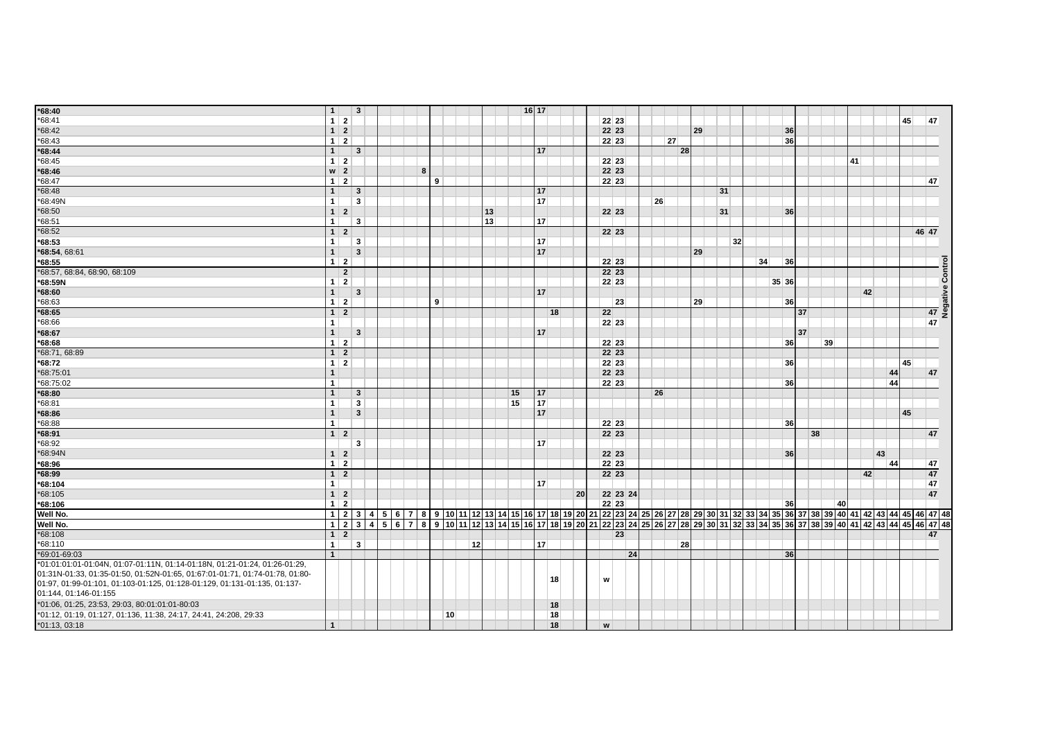| *68:40                                                                       | 1                             | $\overline{\mathbf{3}}$ |  |   |    |    |    |    | 16 17 |    |    |                |          |    |    |    |    |    |    |       |    |    |    |    |    |    |    |                                                                                                                                                    |
|------------------------------------------------------------------------------|-------------------------------|-------------------------|--|---|----|----|----|----|-------|----|----|----------------|----------|----|----|----|----|----|----|-------|----|----|----|----|----|----|----|----------------------------------------------------------------------------------------------------------------------------------------------------|
| *68:41                                                                       | $1\vert 2$                    |                         |  |   |    |    |    |    |       |    |    | 22 23          |          |    |    |    |    |    |    |       |    |    |    |    |    |    | 45 | 47                                                                                                                                                 |
| *68:42                                                                       | $1 \vert 2$                   |                         |  |   |    |    |    |    |       |    |    | 22 23          |          |    |    | 29 |    |    |    |       | 36 |    |    |    |    |    |    |                                                                                                                                                    |
| $*68:43$                                                                     | $1 \vert 2$                   |                         |  |   |    |    |    |    |       |    |    | 22 23          |          |    | 27 |    |    |    |    |       | 36 |    |    |    |    |    |    |                                                                                                                                                    |
| $*68:44$                                                                     | 1                             | $\overline{\mathbf{3}}$ |  |   |    |    |    |    | 17    |    |    |                |          |    | 28 |    |    |    |    |       |    |    |    |    |    |    |    |                                                                                                                                                    |
| *68:45                                                                       | $1 \mid 2$                    |                         |  |   |    |    |    |    |       |    |    | 22 23          |          |    |    |    |    |    |    |       |    |    |    | 41 |    |    |    |                                                                                                                                                    |
| *68:46                                                                       | $w \mid 2$                    |                         |  | 8 |    |    |    |    |       |    |    | 22 23          |          |    |    |    |    |    |    |       |    |    |    |    |    |    |    |                                                                                                                                                    |
| *68:47                                                                       | $1 \vert 2$                   |                         |  | 9 |    |    |    |    |       |    |    | 22 23          |          |    |    |    |    |    |    |       |    |    |    |    |    |    |    | 47                                                                                                                                                 |
| *68:48                                                                       | 1                             | $\mathbf{3}$            |  |   |    |    |    |    | 17    |    |    |                |          |    |    |    | 31 |    |    |       |    |    |    |    |    |    |    |                                                                                                                                                    |
| *68:49N                                                                      | 1                             | $\mathbf{3}$            |  |   |    |    |    |    | 17    |    |    |                |          | 26 |    |    |    |    |    |       |    |    |    |    |    |    |    |                                                                                                                                                    |
| *68:50                                                                       | $1 \vert 2$                   |                         |  |   |    |    | 13 |    |       |    |    | 22 23          |          |    |    |    | 31 |    |    |       | 36 |    |    |    |    |    |    |                                                                                                                                                    |
| *68:51                                                                       | 1 <sup>1</sup>                | $\mathbf{3}$            |  |   |    |    | 13 |    | 17    |    |    |                |          |    |    |    |    |    |    |       |    |    |    |    |    |    |    |                                                                                                                                                    |
| *68:52                                                                       | $1 \vert 2$                   |                         |  |   |    |    |    |    |       |    |    | 22 23          |          |    |    |    |    |    |    |       |    |    |    |    |    |    |    | 46 47                                                                                                                                              |
| *68:53                                                                       | 1 <sup>1</sup>                | $\mathbf{3}$            |  |   |    |    |    |    | 17    |    |    |                |          |    |    |    |    | 32 |    |       |    |    |    |    |    |    |    |                                                                                                                                                    |
| *68:54, 68:61                                                                | 1                             | $\overline{\mathbf{3}}$ |  |   |    |    |    |    | 17    |    |    |                |          |    |    | 29 |    |    |    |       |    |    |    |    |    |    |    |                                                                                                                                                    |
| *68:55                                                                       | $1 \vert 2$                   |                         |  |   |    |    |    |    |       |    |    | 22 23          |          |    |    |    |    |    | 34 |       | 36 |    |    |    |    |    |    |                                                                                                                                                    |
| *68:57, 68:84, 68:90, 68:109                                                 | $\overline{2}$                |                         |  |   |    |    |    |    |       |    |    | 22 23          |          |    |    |    |    |    |    |       |    |    |    |    |    |    |    |                                                                                                                                                    |
| *68:59N                                                                      | $1 \mid 2$                    |                         |  |   |    |    |    |    |       |    |    | 22 23          |          |    |    |    |    |    |    | 35 36 |    |    |    |    |    |    |    |                                                                                                                                                    |
| $*68:60$                                                                     | 1                             | $\overline{\mathbf{3}}$ |  |   |    |    |    |    | 17    |    |    |                |          |    |    |    |    |    |    |       |    |    |    |    | 42 |    |    |                                                                                                                                                    |
| *68:63                                                                       | $1 \mid 2$                    |                         |  |   | 9  |    |    |    |       |    |    |                | 23       |    |    | 29 |    |    |    |       | 36 |    |    |    |    |    |    |                                                                                                                                                    |
| $*68:65$                                                                     | $1 \vert 2$                   |                         |  |   |    |    |    |    |       | 18 |    | 22             |          |    |    |    |    |    |    |       | 37 |    |    |    |    |    |    | 47 <sup>°</sup>                                                                                                                                    |
| *68:66                                                                       | 1 <sup>1</sup>                |                         |  |   |    |    |    |    |       |    |    | 22 23          |          |    |    |    |    |    |    |       |    |    |    |    |    |    |    | 47                                                                                                                                                 |
| *68:67                                                                       | $\mathbf{1}$                  | $\overline{\mathbf{3}}$ |  |   |    |    |    |    | 17    |    |    |                |          |    |    |    |    |    |    |       | 37 |    |    |    |    |    |    |                                                                                                                                                    |
| *68:68                                                                       | $1 \vert 2$                   |                         |  |   |    |    |    |    |       |    |    | 22 23          |          |    |    |    |    |    |    |       | 36 |    | 39 |    |    |    |    |                                                                                                                                                    |
| *68:71, 68:89                                                                | $1 \vert 2$                   |                         |  |   |    |    |    |    |       |    |    | 22 23          |          |    |    |    |    |    |    |       |    |    |    |    |    |    |    |                                                                                                                                                    |
| *68:72                                                                       | $1 \mid 2$                    |                         |  |   |    |    |    |    |       |    |    | 22 23          |          |    |    |    |    |    |    |       | 36 |    |    |    |    |    | 45 |                                                                                                                                                    |
| *68:75:01                                                                    | $\mathbf{1}$                  |                         |  |   |    |    |    |    |       |    |    | 22 23          |          |    |    |    |    |    |    |       |    |    |    |    |    | 44 |    | 47                                                                                                                                                 |
| *68:75:02                                                                    | 1                             |                         |  |   |    |    |    |    |       |    |    | 22 23          |          |    |    |    |    |    |    |       | 36 |    |    |    |    | 44 |    |                                                                                                                                                    |
| *68:80                                                                       | $\mathbf{1}$                  | $\overline{\mathbf{3}}$ |  |   |    |    |    | 15 | 17    |    |    |                |          | 26 |    |    |    |    |    |       |    |    |    |    |    |    |    |                                                                                                                                                    |
| *68:81                                                                       | $\mathbf{1}$                  | $\mathbf{3}$            |  |   |    |    |    | 15 | 17    |    |    |                |          |    |    |    |    |    |    |       |    |    |    |    |    |    |    |                                                                                                                                                    |
| $*68:86$                                                                     | $\mathbf{1}$                  | $\overline{\mathbf{3}}$ |  |   |    |    |    |    | 17    |    |    |                |          |    |    |    |    |    |    |       |    |    |    |    |    |    | 45 |                                                                                                                                                    |
| *68:88                                                                       | 1                             |                         |  |   |    |    |    |    |       |    |    | 22 23          |          |    |    |    |    |    |    |       | 36 |    |    |    |    |    |    |                                                                                                                                                    |
| $*68:91$                                                                     | $1 \vert 2$                   |                         |  |   |    |    |    |    |       |    |    | 22 23          |          |    |    |    |    |    |    |       |    | 38 |    |    |    |    |    | 47                                                                                                                                                 |
| *68:92                                                                       |                               | 3                       |  |   |    |    |    |    | 17    |    |    |                |          |    |    |    |    |    |    |       |    |    |    |    |    |    |    |                                                                                                                                                    |
| *68:94N                                                                      | $1 \vert 2$                   |                         |  |   |    |    |    |    |       |    |    | 22 23          |          |    |    |    |    |    |    |       | 36 |    |    |    |    | 43 |    |                                                                                                                                                    |
|                                                                              |                               |                         |  |   |    |    |    |    |       |    |    |                |          |    |    |    |    |    |    |       |    |    |    |    |    | 44 |    |                                                                                                                                                    |
| *68:96                                                                       | $1 \mid 2$<br>$1\overline{2}$ |                         |  |   |    |    |    |    |       |    |    | 22 23<br>22 23 |          |    |    |    |    |    |    |       |    |    |    |    | 42 |    |    | 47<br>47                                                                                                                                           |
| *68:99                                                                       |                               |                         |  |   |    |    |    |    |       |    |    |                |          |    |    |    |    |    |    |       |    |    |    |    |    |    |    |                                                                                                                                                    |
| *68:104                                                                      | 1 <sup>1</sup>                |                         |  |   |    |    |    |    | 17    |    |    |                |          |    |    |    |    |    |    |       |    |    |    |    |    |    |    | 47<br>47                                                                                                                                           |
| *68:105                                                                      | $1 \mid 2$<br>$1 \vert 2$     |                         |  |   |    |    |    |    |       |    | 20 | 22 23          | 22 23 24 |    |    |    |    |    |    |       |    |    |    |    |    |    |    |                                                                                                                                                    |
| *68:106                                                                      |                               |                         |  |   |    |    |    |    |       |    |    |                |          |    |    |    |    |    |    |       | 36 |    | 40 |    |    |    |    |                                                                                                                                                    |
| Well No.                                                                     |                               |                         |  |   |    |    |    |    |       |    |    |                |          |    |    |    |    |    |    |       |    |    |    |    |    |    |    |                                                                                                                                                    |
| Well No.                                                                     |                               |                         |  |   |    |    |    |    |       |    |    |                |          |    |    |    |    |    |    |       |    |    |    |    |    |    |    | 1 2 3 4 5 6 7 8 9 10 11 2 3 4 5 6 7 8 9 10 11 2 3 4 5 6 7 8 9 20 21 22 23 24 25 26 27 28 29 30 31 32 33 4 35 36 37 38 39 40 41 42 43 44 5 46 47 48 |
| *68:108                                                                      | $1 \vert 2$                   |                         |  |   |    |    |    |    |       |    |    |                | 23       |    |    |    |    |    |    |       |    |    |    |    |    |    |    | 47                                                                                                                                                 |
| *68:110                                                                      | 1 <sup>1</sup>                | $\mathbf{3}$            |  |   |    | 12 |    |    | 17    |    |    |                |          |    | 28 |    |    |    |    |       |    |    |    |    |    |    |    |                                                                                                                                                    |
| *69:01-69:03                                                                 | $\mathbf{1}$                  |                         |  |   |    |    |    |    |       |    |    |                | 24       |    |    |    |    |    |    |       | 36 |    |    |    |    |    |    |                                                                                                                                                    |
| *01:01:01:01-01:04N, 01:07-01:11N, 01:14-01:18N, 01:21-01:24, 01:26-01:29,   |                               |                         |  |   |    |    |    |    |       |    |    |                |          |    |    |    |    |    |    |       |    |    |    |    |    |    |    |                                                                                                                                                    |
| 01:31N-01:33, 01:35-01:50, 01:52N-01:65, 01:67:01-01:71, 01:74-01:78, 01:80- |                               |                         |  |   |    |    |    |    |       | 18 |    | w              |          |    |    |    |    |    |    |       |    |    |    |    |    |    |    |                                                                                                                                                    |
| 01:97, 01:99-01:101, 01:103-01:125, 01:128-01:129, 01:131-01:135, 01:137-    |                               |                         |  |   |    |    |    |    |       |    |    |                |          |    |    |    |    |    |    |       |    |    |    |    |    |    |    |                                                                                                                                                    |
| 01:144, 01:146-01:155                                                        |                               |                         |  |   |    |    |    |    |       |    |    |                |          |    |    |    |    |    |    |       |    |    |    |    |    |    |    |                                                                                                                                                    |
| *01:06, 01:25, 23:53, 29:03, 80:01:01:01-80:03                               |                               |                         |  |   |    |    |    |    |       | 18 |    |                |          |    |    |    |    |    |    |       |    |    |    |    |    |    |    |                                                                                                                                                    |
| *01:12, 01:19, 01:127, 01:136, 11:38, 24:17, 24:41, 24:208, 29:33            |                               |                         |  |   | 10 |    |    |    |       | 18 |    |                |          |    |    |    |    |    |    |       |    |    |    |    |    |    |    |                                                                                                                                                    |
| *01:13, 03:18                                                                | $\mathbf{1}$                  |                         |  |   |    |    |    |    |       | 18 |    | W              |          |    |    |    |    |    |    |       |    |    |    |    |    |    |    |                                                                                                                                                    |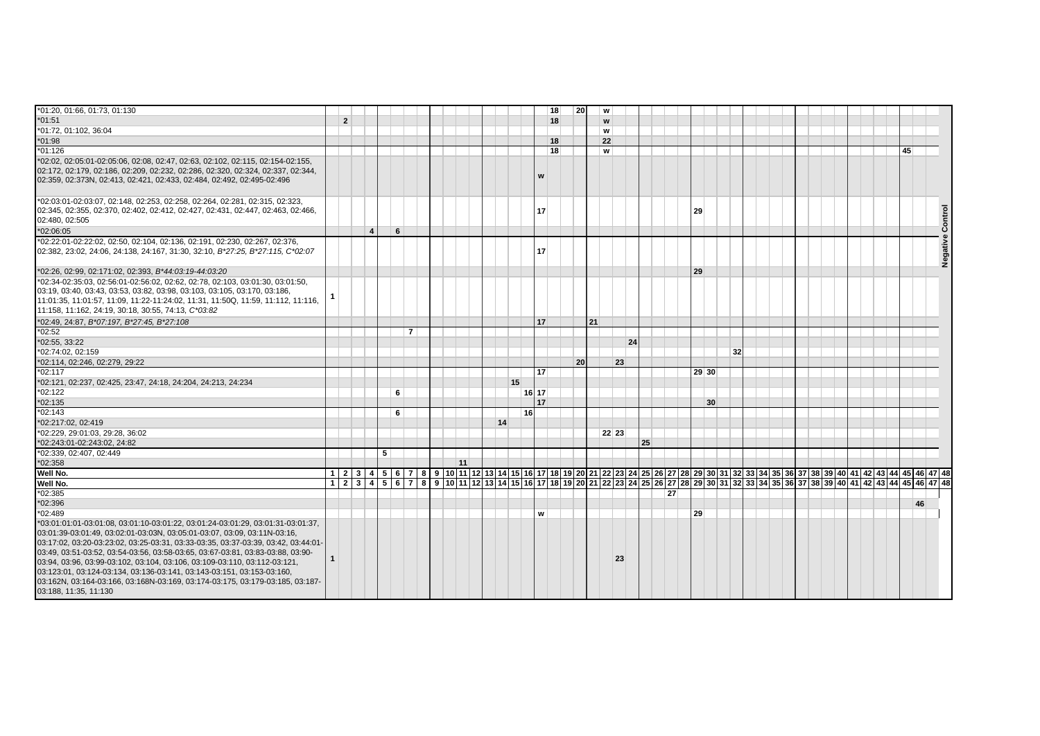| *01:20, 01:66, 01:73, 01:130                                                                                                                                                                                                                                                                                                                                                                                                                                                                                                                                                                        |                |                        |   |   |    |  |    |           | 18 | 20 |    | W     |    |    |    |       |                 |    |  |  |  |  |  |    |         |
|-----------------------------------------------------------------------------------------------------------------------------------------------------------------------------------------------------------------------------------------------------------------------------------------------------------------------------------------------------------------------------------------------------------------------------------------------------------------------------------------------------------------------------------------------------------------------------------------------------|----------------|------------------------|---|---|----|--|----|-----------|----|----|----|-------|----|----|----|-------|-----------------|----|--|--|--|--|--|----|---------|
| $*01:51$                                                                                                                                                                                                                                                                                                                                                                                                                                                                                                                                                                                            | $\overline{2}$ |                        |   |   |    |  |    |           | 18 |    |    | W     |    |    |    |       |                 |    |  |  |  |  |  |    |         |
| *01:72, 01:102, 36:04                                                                                                                                                                                                                                                                                                                                                                                                                                                                                                                                                                               |                |                        |   |   |    |  |    |           |    |    |    | W     |    |    |    |       |                 |    |  |  |  |  |  |    |         |
| $*01:98$                                                                                                                                                                                                                                                                                                                                                                                                                                                                                                                                                                                            |                |                        |   |   |    |  |    |           | 18 |    |    | 22    |    |    |    |       |                 |    |  |  |  |  |  |    |         |
| $*01:126$                                                                                                                                                                                                                                                                                                                                                                                                                                                                                                                                                                                           |                |                        |   |   |    |  |    |           | 18 |    |    | W     |    |    |    |       |                 |    |  |  |  |  |  | 45 |         |
| *02:02, 02:05:01-02:05:06, 02:08, 02:47, 02:63, 02:102, 02:115, 02:154-02:155,<br>02:172, 02:179, 02:186, 02:209, 02:232, 02:286, 02:320, 02:324, 02:337, 02:344,<br>02:359, 02:373N, 02:413, 02:421, 02:433, 02:484, 02:492, 02:495-02:496                                                                                                                                                                                                                                                                                                                                                         |                |                        |   |   |    |  |    |           | w  |    |    |       |    |    |    |       |                 |    |  |  |  |  |  |    |         |
| 102:03:01-02:03:07, 02:148, 02:253, 02:258, 02:264, 02:281, 02:315, 02:323,<br>02:345, 02:355, 02:370, 02:402, 02:412, 02:427, 02:431, 02:447, 02:463, 02:466,<br>02:480, 02:505                                                                                                                                                                                                                                                                                                                                                                                                                    |                |                        |   |   |    |  |    |           | 17 |    |    |       |    |    |    | 29    |                 |    |  |  |  |  |  |    | Control |
| *02:06:05                                                                                                                                                                                                                                                                                                                                                                                                                                                                                                                                                                                           |                | $\boldsymbol{\Lambda}$ | 6 |   |    |  |    |           |    |    |    |       |    |    |    |       |                 |    |  |  |  |  |  |    |         |
| *02:22:01-02:22:02, 02:50, 02:104, 02:136, 02:191, 02:230, 02:267, 02:376,<br>02:382, 23:02, 24:06, 24:138, 24:167, 31:30, 32:10, B*27:25, B*27:115, C*02:07                                                                                                                                                                                                                                                                                                                                                                                                                                        |                |                        |   |   |    |  |    |           | 17 |    |    |       |    |    |    |       |                 |    |  |  |  |  |  |    | Negativ |
| *02:26, 02:99, 02:171:02, 02:393, B*44:03:19-44:03:20                                                                                                                                                                                                                                                                                                                                                                                                                                                                                                                                               |                |                        |   |   |    |  |    |           |    |    |    |       |    |    |    | 29    |                 |    |  |  |  |  |  |    |         |
| *02:34-02:35:03, 02:56:01-02:56:02, 02:62, 02:78, 02:103, 03:01:30, 03:01:50,<br>03:19, 03:40, 03:43, 03:53, 03:82, 03:98, 03:103, 03:105, 03:170, 03:186,<br>11:01:35, 11:01:57, 11:09, 11:22-11:24:02, 11:31, 11:50Q, 11:59, 11:112, 11:116,<br>11:158, 11:162, 24:19, 30:18, 30:55, 74:13, C*03:82                                                                                                                                                                                                                                                                                               |                |                        |   |   |    |  |    |           |    |    |    |       |    |    |    |       |                 |    |  |  |  |  |  |    |         |
| *02:49, 24:87, B*07:197, B*27:45, B*27:108                                                                                                                                                                                                                                                                                                                                                                                                                                                                                                                                                          |                |                        |   |   |    |  |    |           | 17 |    | 21 |       |    |    |    |       |                 |    |  |  |  |  |  |    |         |
| $*02:52$                                                                                                                                                                                                                                                                                                                                                                                                                                                                                                                                                                                            |                |                        |   | 7 |    |  |    |           |    |    |    |       |    |    |    |       |                 |    |  |  |  |  |  |    |         |
| $*02:55, 33:22$                                                                                                                                                                                                                                                                                                                                                                                                                                                                                                                                                                                     |                |                        |   |   |    |  |    |           |    |    |    |       | 24 |    |    |       |                 |    |  |  |  |  |  |    |         |
| *02:74:02, 02:159                                                                                                                                                                                                                                                                                                                                                                                                                                                                                                                                                                                   |                |                        |   |   |    |  |    |           |    |    |    |       |    |    |    |       |                 | 32 |  |  |  |  |  |    |         |
| *02:114, 02:246, 02:279, 29:22                                                                                                                                                                                                                                                                                                                                                                                                                                                                                                                                                                      |                |                        |   |   |    |  |    |           |    | 20 |    |       | 23 |    |    |       |                 |    |  |  |  |  |  |    |         |
| $*02:117$                                                                                                                                                                                                                                                                                                                                                                                                                                                                                                                                                                                           |                |                        |   |   |    |  |    |           | 17 |    |    |       |    |    |    | 29 30 |                 |    |  |  |  |  |  |    |         |
| *02:121, 02:237, 02:425, 23:47, 24:18, 24:204, 24:213, 24:234                                                                                                                                                                                                                                                                                                                                                                                                                                                                                                                                       |                |                        |   |   |    |  | 15 |           |    |    |    |       |    |    |    |       |                 |    |  |  |  |  |  |    |         |
| *02:122                                                                                                                                                                                                                                                                                                                                                                                                                                                                                                                                                                                             |                |                        | 6 |   |    |  |    | 16 17     |    |    |    |       |    |    |    |       |                 |    |  |  |  |  |  |    |         |
| $*02:135$                                                                                                                                                                                                                                                                                                                                                                                                                                                                                                                                                                                           |                |                        |   |   |    |  |    |           | 17 |    |    |       |    |    |    |       | 30 <sup>°</sup> |    |  |  |  |  |  |    |         |
| $*02:143$                                                                                                                                                                                                                                                                                                                                                                                                                                                                                                                                                                                           |                |                        | 6 |   |    |  |    | <b>16</b> |    |    |    |       |    |    |    |       |                 |    |  |  |  |  |  |    |         |
| *02:217:02, 02:419                                                                                                                                                                                                                                                                                                                                                                                                                                                                                                                                                                                  |                |                        |   |   |    |  | 14 |           |    |    |    |       |    |    |    |       |                 |    |  |  |  |  |  |    |         |
| *02:229, 29:01:03, 29:28, 36:02                                                                                                                                                                                                                                                                                                                                                                                                                                                                                                                                                                     |                |                        |   |   |    |  |    |           |    |    |    | 22 23 |    |    |    |       |                 |    |  |  |  |  |  |    |         |
| *02:243:01-02:243:02, 24:82                                                                                                                                                                                                                                                                                                                                                                                                                                                                                                                                                                         |                |                        |   |   |    |  |    |           |    |    |    |       |    | 25 |    |       |                 |    |  |  |  |  |  |    |         |
| *02:339, 02:407, 02:449                                                                                                                                                                                                                                                                                                                                                                                                                                                                                                                                                                             |                | 5                      |   |   |    |  |    |           |    |    |    |       |    |    |    |       |                 |    |  |  |  |  |  |    |         |
| $*02:358$                                                                                                                                                                                                                                                                                                                                                                                                                                                                                                                                                                                           |                |                        |   |   | 11 |  |    |           |    |    |    |       |    |    |    |       |                 |    |  |  |  |  |  |    |         |
| Well No.                                                                                                                                                                                                                                                                                                                                                                                                                                                                                                                                                                                            |                |                        |   |   |    |  |    |           |    |    |    |       |    |    |    |       |                 |    |  |  |  |  |  |    |         |
| Well No.                                                                                                                                                                                                                                                                                                                                                                                                                                                                                                                                                                                            | 1 2            |                        |   |   |    |  |    |           |    |    |    |       |    |    |    |       |                 |    |  |  |  |  |  |    |         |
| $*02:385$                                                                                                                                                                                                                                                                                                                                                                                                                                                                                                                                                                                           |                |                        |   |   |    |  |    |           |    |    |    |       |    |    | 27 |       |                 |    |  |  |  |  |  |    |         |
| $*02:396$                                                                                                                                                                                                                                                                                                                                                                                                                                                                                                                                                                                           |                |                        |   |   |    |  |    |           |    |    |    |       |    |    |    |       |                 |    |  |  |  |  |  | 46 |         |
| $*02:489$                                                                                                                                                                                                                                                                                                                                                                                                                                                                                                                                                                                           |                |                        |   |   |    |  |    |           | w  |    |    |       |    |    |    | 29    |                 |    |  |  |  |  |  |    |         |
| *03:01:01:01-03:01:08, 03:01:10-03:01:22, 03:01:24-03:01:29, 03:01:31-03:01:37,<br>03:01:39-03:01:49, 03:02:01-03:03N, 03:05:01-03:07, 03:09, 03:11N-03:16,<br>03:17:02, 03:20-03:23:02, 03:25-03:31, 03:33-03:35, 03:37-03:39, 03:42, 03:44:01-<br>03:49, 03:51-03:52, 03:54-03:56, 03:58-03:65, 03:67-03:81, 03:83-03:88, 03:90-<br>03:94, 03:96, 03:99-03:102, 03:104, 03:106, 03:109-03:110, 03:112-03:121,<br>03:123:01, 03:124-03:134, 03:136-03:141, 03:143-03:151, 03:153-03:160,<br>03:162N, 03:164-03:166, 03:168N-03:169, 03:174-03:175, 03:179-03:185, 03:187-<br>03:188, 11:35, 11:130 |                |                        |   |   |    |  |    |           |    |    |    |       | 23 |    |    |       |                 |    |  |  |  |  |  |    |         |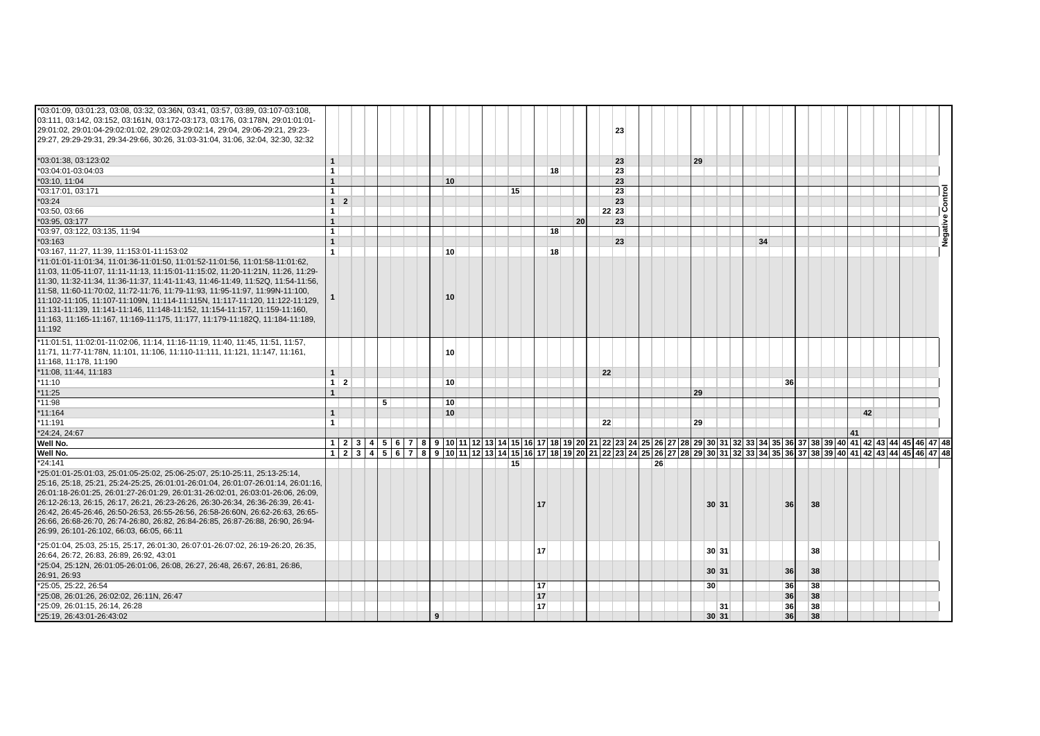| *03:01:09, 03:01:23, 03:08, 03:32, 03:36N, 03:41, 03:57, 03:89, 03:107-03:108,<br>03:111, 03:142, 03:152, 03:161N, 03:172-03:173, 03:176, 03:178N, 29:01:01:01-<br>29:01:02, 29:01:04-29:02:01:02, 29:02:03-29:02:14, 29:04, 29:06-29:21, 29:23-<br>29:27, 29:29-29:31, 29:34-29:66, 30:26, 31:03-31:04, 31:06, 32:04, 32:30, 32:32                                                                                                                                                                                                                                                        |                 |   |  |                 |  |                                                                                                                                                     |    |    |       | 23 |    |                 |    |    |                 |    |    |  |  |  |
|--------------------------------------------------------------------------------------------------------------------------------------------------------------------------------------------------------------------------------------------------------------------------------------------------------------------------------------------------------------------------------------------------------------------------------------------------------------------------------------------------------------------------------------------------------------------------------------------|-----------------|---|--|-----------------|--|-----------------------------------------------------------------------------------------------------------------------------------------------------|----|----|-------|----|----|-----------------|----|----|-----------------|----|----|--|--|--|
| *03:01:38, 03:123:02                                                                                                                                                                                                                                                                                                                                                                                                                                                                                                                                                                       | $\mathbf{1}$    |   |  |                 |  |                                                                                                                                                     |    |    |       | 23 |    | 29              |    |    |                 |    |    |  |  |  |
| *03:04:01-03:04:03                                                                                                                                                                                                                                                                                                                                                                                                                                                                                                                                                                         | 1 <sup>1</sup>  |   |  |                 |  |                                                                                                                                                     | 18 |    |       | 23 |    |                 |    |    |                 |    |    |  |  |  |
| *03:10, 11:04                                                                                                                                                                                                                                                                                                                                                                                                                                                                                                                                                                              | $\mathbf{1}$    |   |  | 10 <sup>1</sup> |  |                                                                                                                                                     |    |    |       | 23 |    |                 |    |    |                 |    |    |  |  |  |
| *03:17:01, 03:171                                                                                                                                                                                                                                                                                                                                                                                                                                                                                                                                                                          | 1 <sup>1</sup>  |   |  |                 |  | 15                                                                                                                                                  |    |    |       | 23 |    |                 |    |    |                 |    |    |  |  |  |
| $*03:24$                                                                                                                                                                                                                                                                                                                                                                                                                                                                                                                                                                                   | $1 \vert 2$     |   |  |                 |  |                                                                                                                                                     |    |    |       | 23 |    |                 |    |    |                 |    |    |  |  |  |
| *03:50, 03:66                                                                                                                                                                                                                                                                                                                                                                                                                                                                                                                                                                              | 1 <sup>1</sup>  |   |  |                 |  |                                                                                                                                                     |    |    | 22 23 |    |    |                 |    |    |                 |    |    |  |  |  |
| *03:95, 03:177                                                                                                                                                                                                                                                                                                                                                                                                                                                                                                                                                                             | 1               |   |  |                 |  |                                                                                                                                                     |    | 20 |       | 23 |    |                 |    |    |                 |    |    |  |  |  |
| *03:97, 03:122, 03:135, 11:94                                                                                                                                                                                                                                                                                                                                                                                                                                                                                                                                                              | $\mathbf{1}$    |   |  |                 |  |                                                                                                                                                     | 18 |    |       |    |    |                 |    |    |                 |    |    |  |  |  |
| $*03:163$                                                                                                                                                                                                                                                                                                                                                                                                                                                                                                                                                                                  | $\mathbf{1}$    |   |  |                 |  |                                                                                                                                                     |    |    |       | 23 |    |                 |    | 34 |                 |    |    |  |  |  |
| *03:167, 11:27, 11:39, 11:153:01-11:153:02                                                                                                                                                                                                                                                                                                                                                                                                                                                                                                                                                 | $\mathbf{1}$    |   |  | 10 <sup>1</sup> |  |                                                                                                                                                     | 18 |    |       |    |    |                 |    |    |                 |    |    |  |  |  |
| *11:01:01-11:01:34. 11:01:36-11:01:50. 11:01:52-11:01:56. 11:01:58-11:01:62.<br>11:03, 11:05-11:07, 11:11-11:13, 11:15:01-11:15:02, 11:20-11:21N, 11:26, 11:29-<br>11:30, 11:32-11:34, 11:36-11:37, 11:41-11:43, 11:46-11:49, 11:52Q, 11:54-11:56,<br>11:58, 11:60-11:70:02, 11:72-11:76, 11:79-11:93, 11:95-11:97, 11:99N-11:100,<br>11:102-11:105, 11:107-11:109N, 11:114-11:115N, 11:117-11:120, 11:122-11:129,<br>11:131-11:139, 11:141-11:146, 11:148-11:152, 11:154-11:157, 11:159-11:160,<br>11:163, 11:165-11:167, 11:169-11:175, 11:177, 11:179-11:182Q, 11:184-11:189,<br>11:192 |                 |   |  | 10 <sup>1</sup> |  |                                                                                                                                                     |    |    |       |    |    |                 |    |    |                 |    |    |  |  |  |
| *11:01:51, 11:02:01-11:02:06, 11:14, 11:16-11:19, 11:40, 11:45, 11:51, 11:57,<br>11:71, 11:77-11:78N, 11:101, 11:106, 11:110-11:111, 11:121, 11:147, 11:161,<br>11:168, 11:178, 11:190                                                                                                                                                                                                                                                                                                                                                                                                     |                 |   |  | 10 <sup>1</sup> |  |                                                                                                                                                     |    |    |       |    |    |                 |    |    |                 |    |    |  |  |  |
| *11:08, 11:44, 11:183                                                                                                                                                                                                                                                                                                                                                                                                                                                                                                                                                                      | 1               |   |  |                 |  |                                                                                                                                                     |    |    | 22    |    |    |                 |    |    |                 |    |    |  |  |  |
| $*11:10$                                                                                                                                                                                                                                                                                                                                                                                                                                                                                                                                                                                   | $1 \mid 2 \mid$ |   |  | 10 <sup>1</sup> |  |                                                                                                                                                     |    |    |       |    |    |                 |    |    | 36              |    |    |  |  |  |
| $*11:25$                                                                                                                                                                                                                                                                                                                                                                                                                                                                                                                                                                                   | $\mathbf{1}$    |   |  |                 |  |                                                                                                                                                     |    |    |       |    |    | 29              |    |    |                 |    |    |  |  |  |
| $*11:98$                                                                                                                                                                                                                                                                                                                                                                                                                                                                                                                                                                                   |                 | 5 |  | 10 <sup>1</sup> |  |                                                                                                                                                     |    |    |       |    |    |                 |    |    |                 |    |    |  |  |  |
| $*11:164$                                                                                                                                                                                                                                                                                                                                                                                                                                                                                                                                                                                  | $\mathbf{1}$    |   |  | 10              |  |                                                                                                                                                     |    |    |       |    |    |                 |    |    |                 |    | 42 |  |  |  |
| *11:191                                                                                                                                                                                                                                                                                                                                                                                                                                                                                                                                                                                    | 1 <sup>1</sup>  |   |  |                 |  |                                                                                                                                                     |    |    | 22    |    |    | 29              |    |    |                 |    |    |  |  |  |
| *24:24, 24:67                                                                                                                                                                                                                                                                                                                                                                                                                                                                                                                                                                              |                 |   |  |                 |  |                                                                                                                                                     |    |    |       |    |    |                 |    |    |                 |    | 41 |  |  |  |
| Well No.                                                                                                                                                                                                                                                                                                                                                                                                                                                                                                                                                                                   |                 |   |  |                 |  | 1 2 3 4 5 6 7 8 9 10 11 2 3 4 5 6 7 8 9 10 11 2 3 4 5 6 7 8 9 20 21 22 23 24 25 26 27 28 29 30 31 32 33 34 35 36 37 38 39 40 41 42 43 44 5 46 47 48 |    |    |       |    |    |                 |    |    |                 |    |    |  |  |  |
| Well No.                                                                                                                                                                                                                                                                                                                                                                                                                                                                                                                                                                                   |                 |   |  |                 |  | 1 2 3 4 5 6 7 8 9 10 11 2 3 4 5 6 7 8 9 10 11 2 3 4 5 6 7 8 9 20 21 22 23 24 25 26 27 28 29 30 31 32 33 34 35 36 37 38 39 40 41 42 43 44 5 46 47 48 |    |    |       |    |    |                 |    |    |                 |    |    |  |  |  |
| *24:141                                                                                                                                                                                                                                                                                                                                                                                                                                                                                                                                                                                    |                 |   |  |                 |  | 15                                                                                                                                                  |    |    |       |    | 26 |                 |    |    |                 |    |    |  |  |  |
| *25:01:01-25:01:03, 25:01:05-25:02, 25:06-25:07, 25:10-25:11, 25:13-25:14,<br>25:16, 25:18, 25:21, 25:24-25:25, 26:01:01-26:01:04, 26:01:07-26:01:14, 26:01:16,<br>26:01:18-26:01:25, 26:01:27-26:01:29, 26:01:31-26:02:01, 26:03:01-26:06, 26:09,<br>26:12-26:13, 26:15, 26:17, 26:21, 26:23-26:26, 26:30-26:34, 26:36-26:39, 26:41-<br>26:42, 26:45-26:46, 26:50-26:53, 26:55-26:56, 26:58-26:60N, 26:62-26:63, 26:65-<br>26:66, 26:68-26:70, 26:74-26:80, 26:82, 26:84-26:85, 26:87-26:88, 26:90, 26:94-<br>26:99, 26:101-26:102, 66:03, 66:05, 66:11                                   |                 |   |  |                 |  |                                                                                                                                                     | 17 |    |       |    |    | 30 31           |    |    | 36 <sup>1</sup> | 38 |    |  |  |  |
| *25:01:04, 25:03, 25:15, 25:17, 26:01:30, 26:07:01-26:07:02, 26:19-26:20, 26:35,<br>26:64, 26:72, 26:83, 26:89, 26:92, 43:01                                                                                                                                                                                                                                                                                                                                                                                                                                                               |                 |   |  |                 |  |                                                                                                                                                     | 17 |    |       |    |    | 30 31           |    |    |                 | 38 |    |  |  |  |
| *25:04, 25:12N, 26:01:05-26:01:06, 26:08, 26:27, 26:48, 26:67, 26:81, 26:86,<br>26:91, 26:93                                                                                                                                                                                                                                                                                                                                                                                                                                                                                               |                 |   |  |                 |  |                                                                                                                                                     |    |    |       |    |    | 30 31           |    |    | 36              | 38 |    |  |  |  |
| *25:05, 25:22, 26:54                                                                                                                                                                                                                                                                                                                                                                                                                                                                                                                                                                       |                 |   |  |                 |  |                                                                                                                                                     | 17 |    |       |    |    | 30 <sup>1</sup> |    |    | 36              | 38 |    |  |  |  |
| *25:08, 26:01:26, 26:02:02, 26:11N, 26:47                                                                                                                                                                                                                                                                                                                                                                                                                                                                                                                                                  |                 |   |  |                 |  |                                                                                                                                                     | 17 |    |       |    |    |                 |    |    | 36              | 38 |    |  |  |  |
| *25:09. 26:01:15. 26:14. 26:28                                                                                                                                                                                                                                                                                                                                                                                                                                                                                                                                                             |                 |   |  |                 |  |                                                                                                                                                     | 17 |    |       |    |    |                 | 31 |    | 36              | 38 |    |  |  |  |
| *25:19, 26:43:01-26:43:02                                                                                                                                                                                                                                                                                                                                                                                                                                                                                                                                                                  |                 |   |  | 9               |  |                                                                                                                                                     |    |    |       |    |    | 30 31           |    |    | 36              | 38 |    |  |  |  |